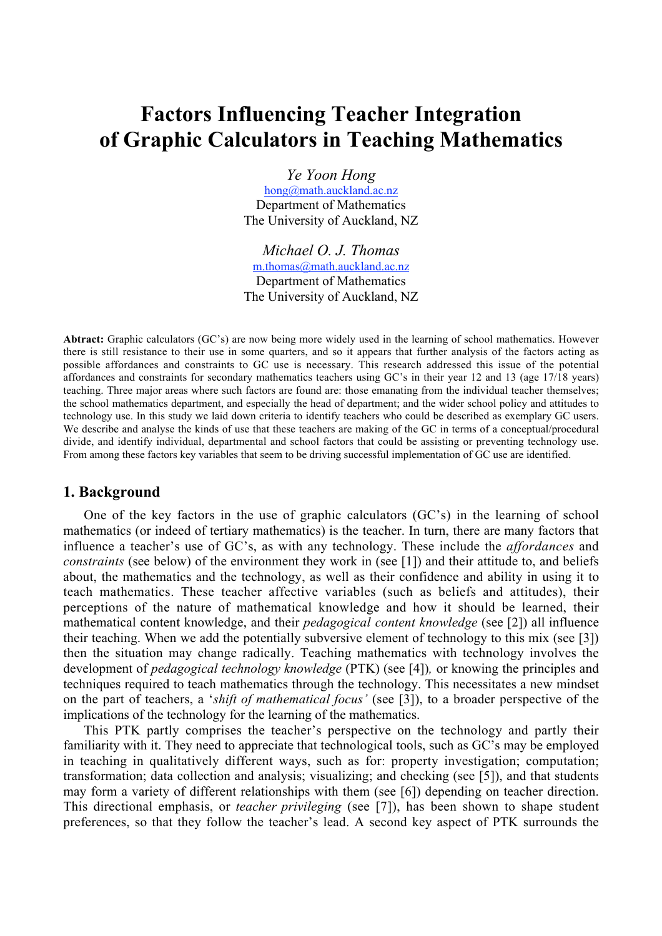# Factors Influencing Teacher Integration of Graphic Calculators in Teaching Mathematics

*Ye Yoon Hong* hong@math.auckland.ac.nz Department of Mathematics The University of Auckland, NZ

*Michael O. J. Thomas* m.thomas@math.auckland.ac.nz Department of Mathematics The University of Auckland, NZ

Abtract: Graphic calculators (GC's) are now being more widely used in the learning of school mathematics. However there is still resistance to their use in some quarters, and so it appears that further analysis of the factors acting as possible affordances and constraints to GC use is necessary. This research addressed this issue of the potential affordances and constraints for secondary mathematics teachers using GC's in their year 12 and 13 (age 17/18 years) teaching. Three major areas where such factors are found are: those emanating from the individual teacher themselves; the school mathematics department, and especially the head of department; and the wider school policy and attitudes to technology use. In this study we laid down criteria to identify teachers who could be described as exemplary GC users. We describe and analyse the kinds of use that these teachers are making of the GC in terms of a conceptual/procedural divide, and identify individual, departmental and school factors that could be assisting or preventing technology use. From among these factors key variables that seem to be driving successful implementation of GC use are identified.

## 1. Background

One of the key factors in the use of graphic calculators (GC's) in the learning of school mathematics (or indeed of tertiary mathematics) is the teacher. In turn, there are many factors that influence a teacher's use of GC's, as with any technology. These include the *affordances* and *constraints* (see below) of the environment they work in (see [1]) and their attitude to, and beliefs about, the mathematics and the technology, as well as their confidence and ability in using it to teach mathematics. These teacher affective variables (such as beliefs and attitudes), their perceptions of the nature of mathematical knowledge and how it should be learned, their mathematical content knowledge, and their *pedagogical content knowledge* (see [2]) all influence their teaching. When we add the potentially subversive element of technology to this mix (see [3]) then the situation may change radically. Teaching mathematics with technology involves the development of *pedagogical technology knowledge* (PTK) (see [4])*,* or knowing the principles and techniques required to teach mathematics through the technology. This necessitates a new mindset on the part of teachers, a '*shift of mathematical focus'* (see [3]), to a broader perspective of the implications of the technology for the learning of the mathematics.

This PTK partly comprises the teacher's perspective on the technology and partly their familiarity with it. They need to appreciate that technological tools, such as GC's may be employed in teaching in qualitatively different ways, such as for: property investigation; computation; transformation; data collection and analysis; visualizing; and checking (see [5]), and that students may form a variety of different relationships with them (see [6]) depending on teacher direction. This directional emphasis, or *teacher privileging* (see [7]), has been shown to shape student preferences, so that they follow the teacher's lead. A second key aspect of PTK surrounds the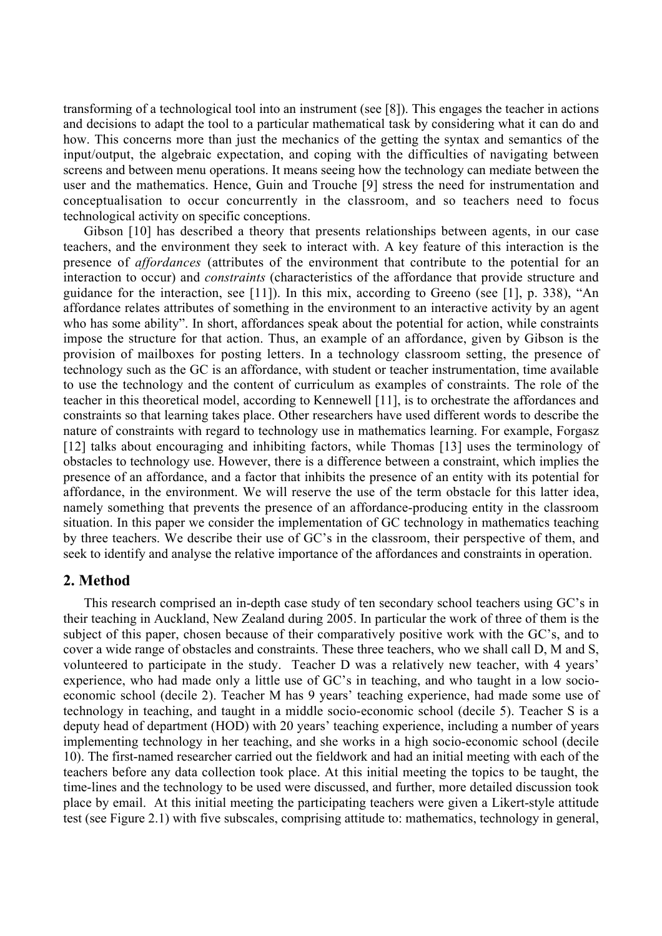transforming of a technological tool into an instrument (see [8]). This engages the teacher in actions and decisions to adapt the tool to a particular mathematical task by considering what it can do and how. This concerns more than just the mechanics of the getting the syntax and semantics of the input/output, the algebraic expectation, and coping with the difficulties of navigating between screens and between menu operations. It means seeing how the technology can mediate between the user and the mathematics. Hence, Guin and Trouche [9] stress the need for instrumentation and conceptualisation to occur concurrently in the classroom, and so teachers need to focus technological activity on specific conceptions.

Gibson [10] has described a theory that presents relationships between agents, in our case teachers, and the environment they seek to interact with. A key feature of this interaction is the presence of *affordances* (attributes of the environment that contribute to the potential for an interaction to occur) and *constraints* (characteristics of the affordance that provide structure and guidance for the interaction, see [11]). In this mix, according to Greeno (see [1], p. 338), "An affordance relates attributes of something in the environment to an interactive activity by an agent who has some ability". In short, affordances speak about the potential for action, while constraints impose the structure for that action. Thus, an example of an affordance, given by Gibson is the provision of mailboxes for posting letters. In a technology classroom setting, the presence of technology such as the GC is an affordance, with student or teacher instrumentation, time available to use the technology and the content of curriculum as examples of constraints. The role of the teacher in this theoretical model, according to Kennewell [11], is to orchestrate the affordances and constraints so that learning takes place. Other researchers have used different words to describe the nature of constraints with regard to technology use in mathematics learning. For example, Forgasz [12] talks about encouraging and inhibiting factors, while Thomas [13] uses the terminology of obstacles to technology use. However, there is a difference between a constraint, which implies the presence of an affordance, and a factor that inhibits the presence of an entity with its potential for affordance, in the environment. We will reserve the use of the term obstacle for this latter idea, namely something that prevents the presence of an affordance-producing entity in the classroom situation. In this paper we consider the implementation of GC technology in mathematics teaching by three teachers. We describe their use of GC's in the classroom, their perspective of them, and seek to identify and analyse the relative importance of the affordances and constraints in operation.

## 2. Method

This research comprised an in-depth case study of ten secondary school teachers using GC's in their teaching in Auckland, New Zealand during 2005. In particular the work of three of them is the subject of this paper, chosen because of their comparatively positive work with the GC's, and to cover a wide range of obstacles and constraints. These three teachers, who we shall call D, M and S, volunteered to participate in the study. Teacher D was a relatively new teacher, with 4 years' experience, who had made only a little use of GC's in teaching, and who taught in a low socioeconomic school (decile 2). Teacher M has 9 years' teaching experience, had made some use of technology in teaching, and taught in a middle socio-economic school (decile 5). Teacher S is a deputy head of department (HOD) with 20 years' teaching experience, including a number of years implementing technology in her teaching, and she works in a high socio-economic school (decile 10). The first-named researcher carried out the fieldwork and had an initial meeting with each of the teachers before any data collection took place. At this initial meeting the topics to be taught, the time-lines and the technology to be used were discussed, and further, more detailed discussion took place by email. At this initial meeting the participating teachers were given a Likert-style attitude test (see Figure 2.1) with five subscales, comprising attitude to: mathematics, technology in general,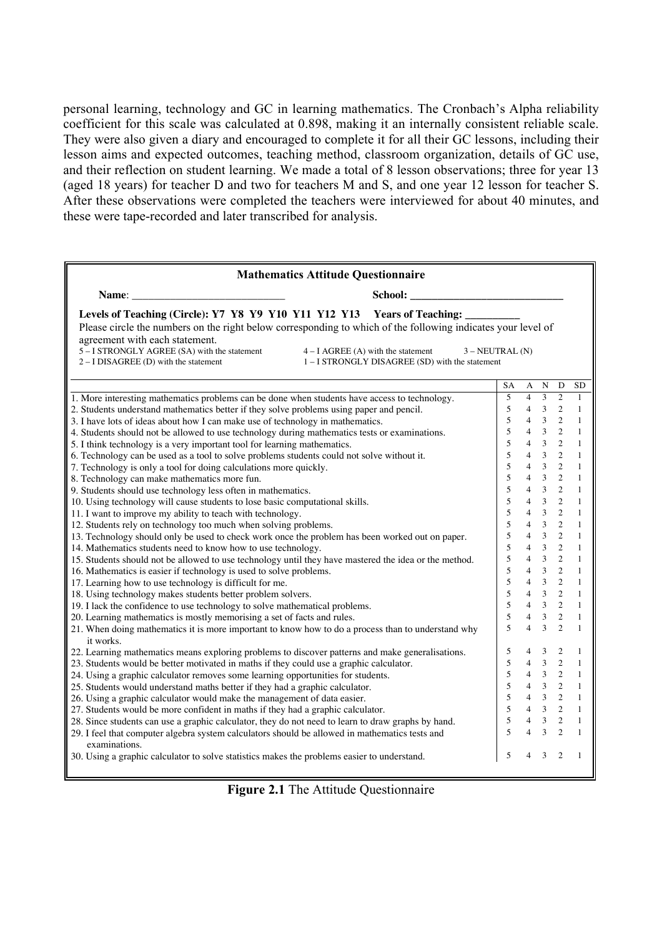personal learning, technology and GC in learning mathematics. The Cronbach's Alpha reliability coefficient for this scale was calculated at 0.898, making it an internally consistent reliable scale. They were also given a diary and encouraged to complete it for all their GC lessons, including their lesson aims and expected outcomes, teaching method, classroom organization, details of GC use, and their reflection on student learning. We made a total of 8 lesson observations; three for year 13 (aged 18 years) for teacher D and two for teachers M and S, and one year 12 lesson for teacher S. After these observations were completed the teachers were interviewed for about 40 minutes, and these were tape-recorded and later transcribed for analysis.

| <b>Mathematics Attitude Questionnaire</b>                                                                                                                                                                                                                                                                           |                                                                                                           |                 |                                  |                |                |                |  |
|---------------------------------------------------------------------------------------------------------------------------------------------------------------------------------------------------------------------------------------------------------------------------------------------------------------------|-----------------------------------------------------------------------------------------------------------|-----------------|----------------------------------|----------------|----------------|----------------|--|
| Name: and the contract of the contract of the contract of the contract of the contract of the contract of the contract of the contract of the contract of the contract of the contract of the contract of the contract of the                                                                                       |                                                                                                           |                 |                                  |                |                |                |  |
| Levels of Teaching (Circle): Y7 Y8 Y9 Y10 Y11 Y12 Y13 Years of Teaching:<br>Please circle the numbers on the right below corresponding to which of the following indicates your level of<br>agreement with each statement.<br>5-I STRONGLY AGREE (SA) with the statement<br>$2 - I DISAGREE$ (D) with the statement | $4 - I$ AGREE (A) with the statement $3 - NEUTRAL$ (N)<br>1 – I STRONGLY DISAGREE (SD) with the statement |                 |                                  |                |                |                |  |
|                                                                                                                                                                                                                                                                                                                     |                                                                                                           | $\overline{SA}$ | A                                | N              | D              | <b>SD</b>      |  |
| 1. More interesting mathematics problems can be done when students have access to technology.                                                                                                                                                                                                                       |                                                                                                           | 5               | $\overline{4}$                   | 3              | $\overline{c}$ | 1              |  |
| 2. Students understand mathematics better if they solve problems using paper and pencil.                                                                                                                                                                                                                            |                                                                                                           | 5               | $\overline{4}$                   | $\overline{3}$ | $\overline{2}$ | $\mathbf{1}$   |  |
| 3. I have lots of ideas about how I can make use of technology in mathematics.                                                                                                                                                                                                                                      |                                                                                                           | 5               | $\overline{4}$                   | $\overline{3}$ | 2              | $\mathbf{1}$   |  |
| 4. Students should not be allowed to use technology during mathematics tests or examinations.                                                                                                                                                                                                                       |                                                                                                           | 5               | $\overline{4}$                   | $\overline{3}$ | $\overline{2}$ | $\mathbf{1}$   |  |
| 5. I think technology is a very important tool for learning mathematics.                                                                                                                                                                                                                                            |                                                                                                           | 5               | $\overline{4}$                   | $\overline{3}$ | $\overline{2}$ | $\mathbf{1}$   |  |
| 6. Technology can be used as a tool to solve problems students could not solve without it.                                                                                                                                                                                                                          |                                                                                                           | 5               | $\overline{\mathcal{L}}$         | $\overline{3}$ | $\overline{2}$ | $\mathbf{1}$   |  |
| 7. Technology is only a tool for doing calculations more quickly.                                                                                                                                                                                                                                                   |                                                                                                           | 5               | $\overline{4}$                   | $\overline{3}$ | $\overline{c}$ | $\mathbf{1}$   |  |
| 8. Technology can make mathematics more fun.                                                                                                                                                                                                                                                                        |                                                                                                           | 5               | $\overline{4}$                   | $\overline{3}$ | 2              | 1              |  |
| 9. Students should use technology less often in mathematics.                                                                                                                                                                                                                                                        |                                                                                                           | 5               | $\overline{\mathbf{A}}$          | $\overline{3}$ | $\mathcal{L}$  | $\mathbf{1}$   |  |
| 10. Using technology will cause students to lose basic computational skills.                                                                                                                                                                                                                                        |                                                                                                           | 5               | $\overline{\mathbf{A}}$          | $\overline{3}$ | $\overline{c}$ | 1              |  |
| 11. I want to improve my ability to teach with technology.                                                                                                                                                                                                                                                          |                                                                                                           | 5               | $\overline{4}$                   | $\overline{3}$ | $\overline{2}$ | $\mathbf{1}$   |  |
| 12. Students rely on technology too much when solving problems.                                                                                                                                                                                                                                                     |                                                                                                           | 5               | $\overline{4}$                   | $\overline{3}$ | $\mathcal{L}$  | $\mathbf{1}$   |  |
| 13. Technology should only be used to check work once the problem has been worked out on paper.                                                                                                                                                                                                                     |                                                                                                           | 5               | $\overline{4}$<br>$\overline{4}$ | $\overline{3}$ | 2              | 1              |  |
| 14. Mathematics students need to know how to use technology.                                                                                                                                                                                                                                                        |                                                                                                           |                 |                                  | $\overline{3}$ | 2              | $\mathbf{1}$   |  |
| 15. Students should not be allowed to use technology until they have mastered the idea or the method.                                                                                                                                                                                                               |                                                                                                           | 5               | $\overline{4}$                   | $\overline{3}$ | 2              | $\mathbf{1}$   |  |
| 16. Mathematics is easier if technology is used to solve problems.                                                                                                                                                                                                                                                  |                                                                                                           | 5               | $\overline{4}$                   | $\overline{3}$ | $\overline{2}$ | $\mathbf{1}$   |  |
| 17. Learning how to use technology is difficult for me.                                                                                                                                                                                                                                                             |                                                                                                           | 5               | $\overline{4}$                   | $\overline{3}$ | $\overline{2}$ | $\mathbf{1}$   |  |
| 18. Using technology makes students better problem solvers.                                                                                                                                                                                                                                                         |                                                                                                           | 5               | $\overline{4}$                   | $\overline{3}$ | $\overline{2}$ | 1              |  |
| 19. I lack the confidence to use technology to solve mathematical problems.                                                                                                                                                                                                                                         |                                                                                                           | 5               | $\overline{4}$                   | $\mathfrak{Z}$ | $\overline{2}$ | $\mathbf{1}$   |  |
| 20. Learning mathematics is mostly memorising a set of facts and rules.                                                                                                                                                                                                                                             |                                                                                                           | 5               | $\overline{4}$                   | $\overline{3}$ | 2              | $\mathbf{1}$   |  |
| 21. When doing mathematics it is more important to know how to do a process than to understand why<br>it works.                                                                                                                                                                                                     |                                                                                                           | 5               | $\overline{4}$                   | $\overline{3}$ | 2              | $\mathbf{1}$   |  |
| 22. Learning mathematics means exploring problems to discover patterns and make generalisations.                                                                                                                                                                                                                    |                                                                                                           | 5               | 4                                | 3              | 2              | 1              |  |
| 23. Students would be better motivated in maths if they could use a graphic calculator.                                                                                                                                                                                                                             |                                                                                                           | 5               | $\overline{4}$                   | $\overline{3}$ | $\sqrt{2}$     | $\mathbf{1}$   |  |
| 24. Using a graphic calculator removes some learning opportunities for students.                                                                                                                                                                                                                                    |                                                                                                           | 5               | $\overline{4}$                   | $\overline{3}$ | $\overline{2}$ | $\mathbf{1}$   |  |
| 25. Students would understand maths better if they had a graphic calculator.                                                                                                                                                                                                                                        |                                                                                                           | 5               | 4                                | $\overline{3}$ | 2              | 1              |  |
| 26. Using a graphic calculator would make the management of data easier.                                                                                                                                                                                                                                            |                                                                                                           | 5               | $\overline{4}$                   | $3 \quad 2$    |                | $\mathbf{1}$   |  |
| 27. Students would be more confident in maths if they had a graphic calculator.                                                                                                                                                                                                                                     |                                                                                                           | 5               | $\overline{4}$                   | $3\quad 2$     |                | $\mathbf{1}$   |  |
| 28. Since students can use a graphic calculator, they do not need to learn to draw graphs by hand.                                                                                                                                                                                                                  |                                                                                                           | 5               |                                  | $3\quad 2$     |                | $\overline{1}$ |  |
| 29. I feel that computer algebra system calculators should be allowed in mathematics tests and<br>examinations.                                                                                                                                                                                                     |                                                                                                           | $\overline{5}$  | $\overline{4}$                   | $\overline{3}$ | 2              | $\mathbf{1}$   |  |
| 30. Using a graphic calculator to solve statistics makes the problems easier to understand.                                                                                                                                                                                                                         |                                                                                                           | 5               | $\overline{\mathbf{A}}$          | 3              | $\overline{2}$ | $\mathbf{1}$   |  |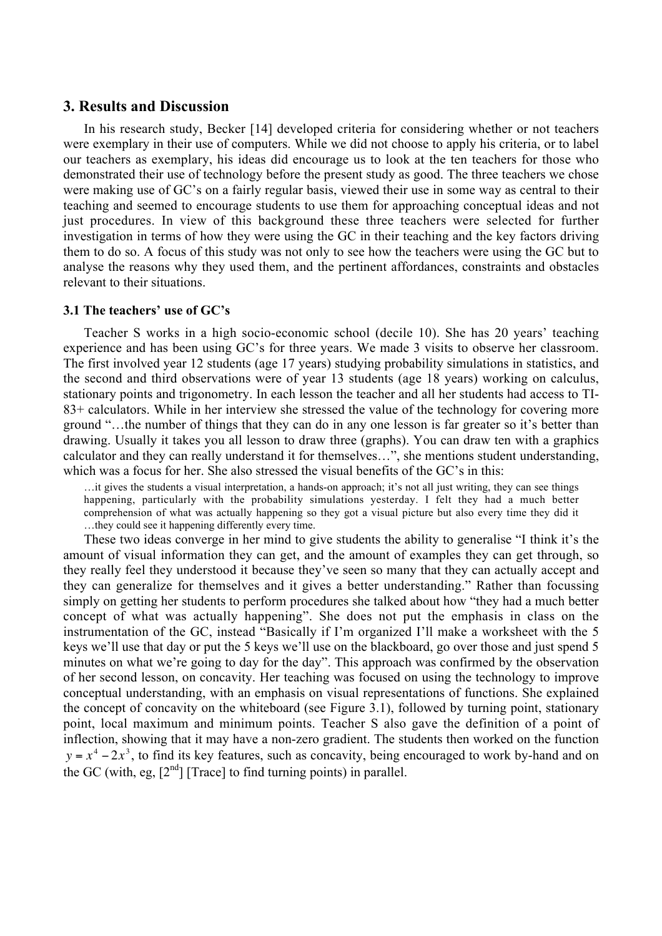## 3. Results and Discussion

In his research study, Becker [14] developed criteria for considering whether or not teachers were exemplary in their use of computers. While we did not choose to apply his criteria, or to label our teachers as exemplary, his ideas did encourage us to look at the ten teachers for those who demonstrated their use of technology before the present study as good. The three teachers we chose were making use of GC's on a fairly regular basis, viewed their use in some way as central to their teaching and seemed to encourage students to use them for approaching conceptual ideas and not just procedures. In view of this background these three teachers were selected for further investigation in terms of how they were using the GC in their teaching and the key factors driving them to do so. A focus of this study was not only to see how the teachers were using the GC but to analyse the reasons why they used them, and the pertinent affordances, constraints and obstacles relevant to their situations.

#### 3.1 The teachers' use of GC's

Teacher S works in a high socio-economic school (decile 10). She has 20 years' teaching experience and has been using GC's for three years. We made 3 visits to observe her classroom. The first involved year 12 students (age 17 years) studying probability simulations in statistics, and the second and third observations were of year 13 students (age 18 years) working on calculus, stationary points and trigonometry. In each lesson the teacher and all her students had access to TI-83+ calculators. While in her interview she stressed the value of the technology for covering more ground "…the number of things that they can do in any one lesson is far greater so it's better than drawing. Usually it takes you all lesson to draw three (graphs). You can draw ten with a graphics calculator and they can really understand it for themselves…", she mentions student understanding, which was a focus for her. She also stressed the visual benefits of the GC's in this:

…it gives the students a visual interpretation, a hands-on approach; it's not all just writing, they can see things happening, particularly with the probability simulations yesterday. I felt they had a much better comprehension of what was actually happening so they got a visual picture but also every time they did it …they could see it happening differently every time.

These two ideas converge in her mind to give students the ability to generalise "I think it's the amount of visual information they can get, and the amount of examples they can get through, so they really feel they understood it because they've seen so many that they can actually accept and they can generalize for themselves and it gives a better understanding." Rather than focussing simply on getting her students to perform procedures she talked about how "they had a much better concept of what was actually happening". She does not put the emphasis in class on the instrumentation of the GC, instead "Basically if I'm organized I'll make a worksheet with the 5 keys we'll use that day or put the 5 keys we'll use on the blackboard, go over those and just spend 5 minutes on what we're going to day for the day". This approach was confirmed by the observation of her second lesson, on concavity. Her teaching was focused on using the technology to improve conceptual understanding, with an emphasis on visual representations of functions. She explained the concept of concavity on the whiteboard (see Figure 3.1), followed by turning point, stationary point, local maximum and minimum points. Teacher S also gave the definition of a point of inflection, showing that it may have a non-zero gradient. The students then worked on the function  $y = x^4 - 2x^3$ , to find its key features, such as concavity, being encouraged to work by-hand and on the GC (with, eg,  $[2^{nd}]$  [Trace] to find turning points) in parallel.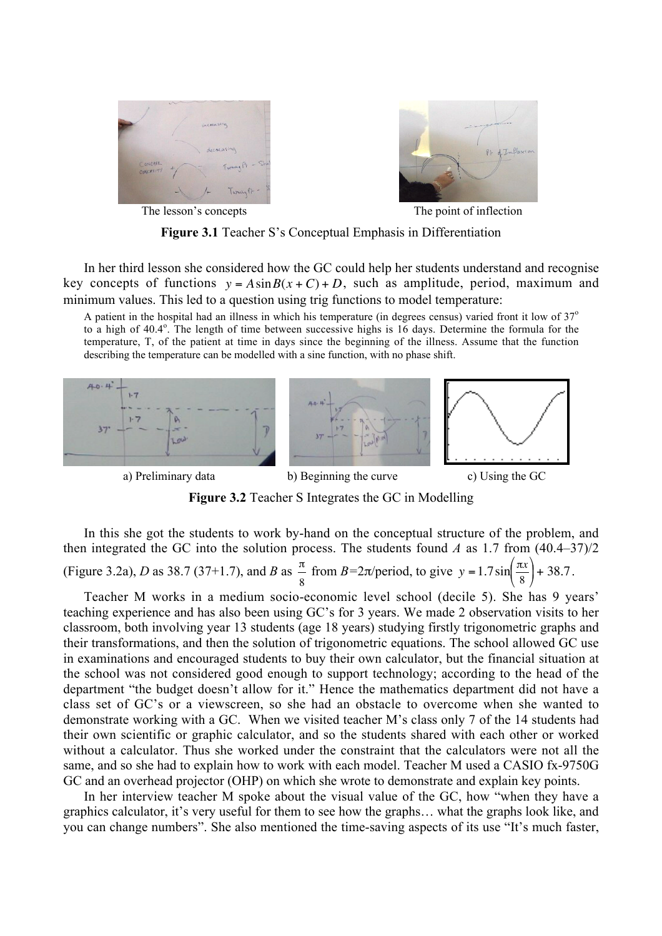



The lesson's concepts The point of inflection

Figure 3.1 Teacher S's Conceptual Emphasis in Differentiation

In her third lesson she considered how the GC could help her students understand and recognise key concepts of functions  $y = A\sin B(x+C) + D$ , such as amplitude, period, maximum and minimum values. This led to a question using trig functions to model temperature:

temperature, T, of the patient at time in days since the beginning of the illness. Assume that the function A patient in the hospital had an illness in which his temperature (in degrees census) varied front it low of  $37^\circ$ to a high of  $40.4^\circ$ . The length of time between successive highs is 16 days. Determine the formula for the describing the temperature can be modelled with a sine function, with no phase shift.





Figure 3.2 Teacher S Integrates the GC in Modelling

In this she got the students to work by-hand on the conceptual structure of the problem, and then integrated the GC into the solution process. The students found *A* as 1.7 from  $(40.4-37)/2$ (Figure 3.2a), *D* as 38.7 (37+1.7), and *B* as  $\frac{\pi}{2}$ 8 from *B*=2 $\pi$ /period, to give  $y = 1.7 \sin \left( \frac{\pi x}{8} \right)$ ĺ  $\setminus$  $\left(\frac{\pi x}{\circ}\right)$ Į  $+ 38.7.$ 

€ € their transformations, and then the solution of trigonometric equations. The school allowed GC use Teacher M works in a medium socio-economic level school (decile 5). She has 9 years' teaching experience and has also been using GC's for 3 years. We made 2 observation visits to her classroom, both involving year 13 students (age 18 years) studying firstly trigonometric graphs and in examinations and encouraged students to buy their own calculator, but the financial situation at the school was not considered good enough to support technology; according to the head of the department "the budget doesn't allow for it." Hence the mathematics department did not have a class set of GC's or a viewscreen, so she had an obstacle to overcome when she wanted to demonstrate working with a GC. When we visited teacher M's class only 7 of the 14 students had their own scientific or graphic calculator, and so the students shared with each other or worked without a calculator. Thus she worked under the constraint that the calculators were not all the same, and so she had to explain how to work with each model. Teacher M used a CASIO fx-9750G GC and an overhead projector (OHP) on which she wrote to demonstrate and explain key points.

In her interview teacher M spoke about the visual value of the GC, how "when they have a graphics calculator, it's very useful for them to see how the graphs… what the graphs look like, and you can change numbers". She also mentioned the time-saving aspects of its use "It's much faster,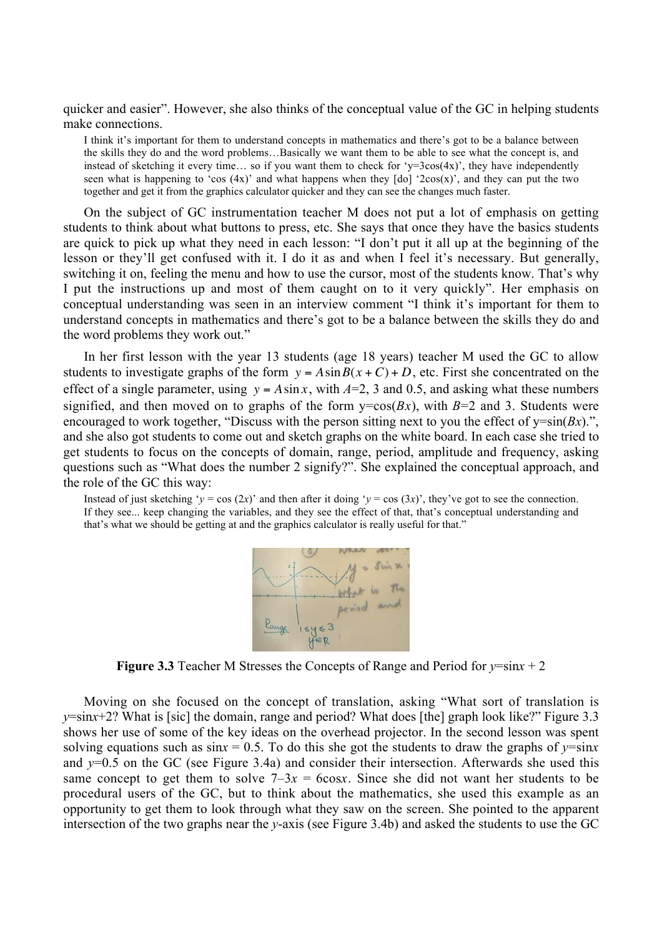quicker and easier". However, she also thinks of the conceptual value of the GC in helping students make connections.

I think it's important for them to understand concepts in mathematics and there's got to be a balance between the skills they do and the word problems…Basically we want them to be able to see what the concept is, and instead of sketching it every time... so if you want them to check for 'y=3cos(4x)', they have independently seen what is happening to 'cos  $(4x)$ ' and what happens when they  $\lceil d\sigma \rceil$  '2cos(x)', and they can put the two together and get it from the graphics calculator quicker and they can see the changes much faster.

On the subject of GC instrumentation teacher M does not put a lot of emphasis on getting students to think about what buttons to press, etc. She says that once they have the basics students are quick to pick up what they need in each lesson: "I don't put it all up at the beginning of the lesson or they'll get confused with it. I do it as and when I feel it's necessary. But generally, switching it on, feeling the menu and how to use the cursor, most of the students know. That's why I put the instructions up and most of them caught on to it very quickly". Her emphasis on conceptual understanding was seen in an interview comment "I think it's important for them to understand concepts in mathematics and there's got to be a balance between the skills they do and the word problems they work out."

In her first lesson with the year 13 students (age 18 years) teacher M used the GC to allow students to investigate graphs of the form  $y = A \sin B(x + C) + D$ , etc. First she concentrated on the encounged to work together, Biseass while the person straing next to you are error or y sin(six). effect of a single parameter, using  $y = A \sin x$ , with  $A=2$ , 3 and 0.5, and asking what these numbers get students to focus on the concepts of domain, range, period, amplitude and frequency, asking signified, and then moved on to graphs of the form  $y = cos(Bx)$ , with  $B=2$  and 3. Students were encouraged to work together, "Discuss with the person sitting next to you the effect of  $v=sin(Bx)$ .", questions such as "What does the number 2 signify?". She explained the conceptual approach, and the role of the GC this way:

Instead of just sketching '*y* = cos (2*x*)' and then after it doing '*y* = cos (3*x*)', they've got to see the connection. If they see... keep changing the variables, and they see the effect of that, that's conceptual understanding and that's what we should be getting at and the graphics calculator is really useful for that."



**Figure 3.3** Teacher M Stresses the Concepts of Range and Period for  $y = sinx + 2$ 

Moving on she focused on the concept of translation, asking "What sort of translation is *y*=sin*x*+2? What is [sic] the domain, range and period? What does [the] graph look like?" Figure 3.3 shows her use of some of the key ideas on the overhead projector. In the second lesson was spent solving equations such as  $\sin x = 0.5$ . To do this she got the students to draw the graphs of  $y = \sin x$ and *y*=0.5 on the GC (see Figure 3.4a) and consider their intersection. Afterwards she used this same concept to get them to solve  $7-3x = 6\cos x$ . Since she did not want her students to be procedural users of the GC, but to think about the mathematics, she used this example as an opportunity to get them to look through what they saw on the screen. She pointed to the apparent intersection of the two graphs near the *y*-axis (see Figure 3.4b) and asked the students to use the GC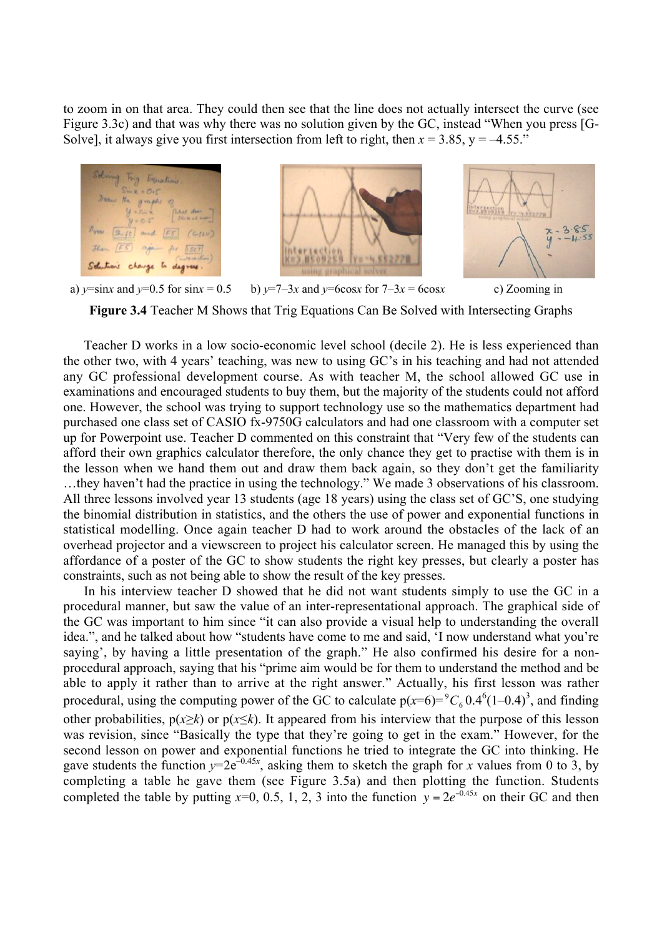to zoom in on that area. They could then see that the line does not actually intersect the curve (see Figure 3.3c) and that was why there was no solution given by the GC, instead "When you press [G-Solve], it always give you first intersection from left to right, then  $x = 3.85$ ,  $y = -4.55$ ."







a)  $y = \sin x$  and  $y = 0.5$  for  $\sin x = 0.5$  b)  $y = 7-3x$  and  $y = 6\cos x$  for  $7-3x = 6\cos x$  c) Zooming in

Figure 3.4 Teacher M Shows that Trig Equations Can Be Solved with Intersecting Graphs

Teacher D works in a low socio-economic level school (decile 2). He is less experienced than the other two, with 4 years' teaching, was new to using GC's in his teaching and had not attended any GC professional development course. As with teacher M, the school allowed GC use in examinations and encouraged students to buy them, but the majority of the students could not afford one. However, the school was trying to support technology use so the mathematics department had purchased one class set of CASIO fx-9750G calculators and had one classroom with a computer set up for Powerpoint use. Teacher D commented on this constraint that "Very few of the students can afford their own graphics calculator therefore, the only chance they get to practise with them is in the lesson when we hand them out and draw them back again, so they don't get the familiarity …they haven't had the practice in using the technology." We made 3 observations of his classroom. All three lessons involved year 13 students (age 18 years) using the class set of GC'S, one studying the binomial distribution in statistics, and the others the use of power and exponential functions in statistical modelling. Once again teacher D had to work around the obstacles of the lack of an overhead projector and a viewscreen to project his calculator screen. He managed this by using the affordance of a poster of the GC to show students the right key presses, but clearly a poster has constraints, such as not being able to show the result of the key presses.

In his interview teacher D showed that he did not want students simply to use the GC in a procedural manner, but saw the value of an inter-representational approach. The graphical side of the GC was important to him since "it can also provide a visual help to understanding the overall idea.", and he talked about how "students have come to me and said, 'I now understand what you're saying', by having a little presentation of the graph." He also confirmed his desire for a nonprocedural approach, saying that his "prime aim would be for them to understand the method and be able to apply it rather than to arrive at the right answer." Actually, his first lesson was rather procedural, using the computing power of the GC to calculate  $p(x=6)= {}^9C_6 0.4 {}^6(1-0.4)^3$ , and finding other probabilities,  $p(x\geq k)$  or  $p(x\leq k)$ . It appeared from his interview that the purpose of this lesson was revision, since "Basically the type that they're going to get in the exam." However, for the second lesson on power and exponential functions he tried to integrate the GC into thinking. He gave students the function  $y=2e^{-0.45x}$ , asking them to sketch the graph for *x* values from 0 to 3, by completing a table he gave them (see Figure 3.5a) and then plotting the function. Students completed the table by putting  $x=0$ , 0.5, 1, 2, 3 into the function  $y = 2e^{-0.45x}$  on their GC and then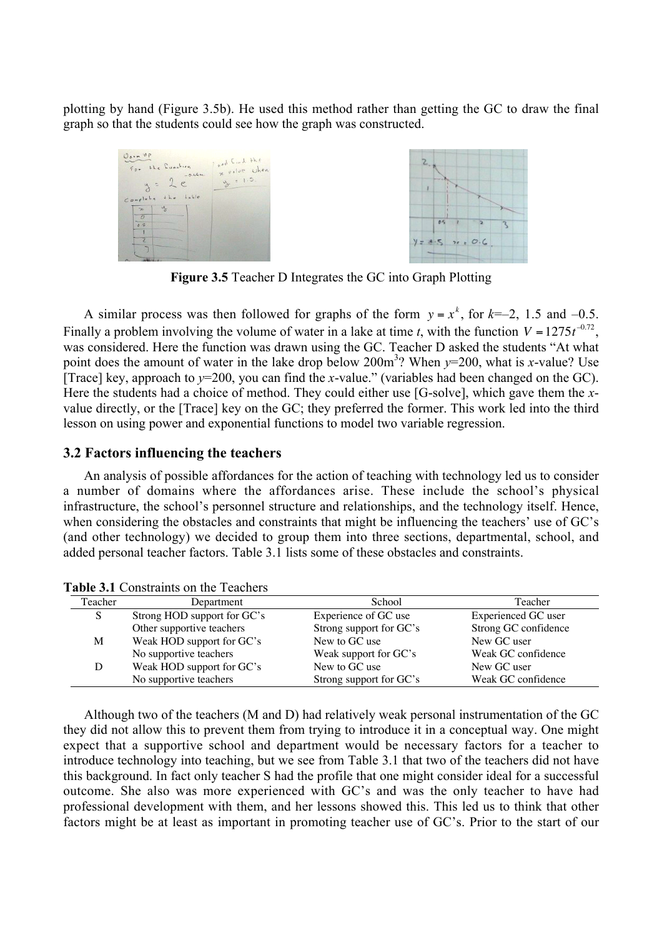plotting by hand (Figure 3.5b). He used this method rather than getting the GC to draw the final graph so that the students could see how the graph was constructed.



Figure 3.5 Teacher D Integrates the GC into Graph Plotting

A similar process was then followed for graphs of the form  $y = x^k$ , for  $k=-2$ , 1.5 and  $-0.5$ . [Trace] key, approach to  $y=200$ , you can find the *x*-value." (variables had been changed on the GC). Finally a problem involving the volume of water in a lake at time *t*, with the function  $V = 1275t^{-0.72}$ , Frace, and *Sepheman to y* 200, you can find the *x*-value. (variables had been enarged on the Ge).<br>Here the students had a choice of method. They could either use [G-solve], which gave them the *x*was considered. Here the function was drawn using the GC. Teacher D asked the students "At what point does the amount of water in the lake drop below 200m<sup>3</sup>? When *y*=200, what is *x*-value? Use value directly, or the [Trace] key on the GC; they preferred the former. This work led into the third lesson on using power and exponential functions to model two variable regression.

#### 3.2 Factors influencing the teachers

An analysis of possible affordances for the action of teaching with technology led us to consider a number of domains where the affordances arise. These include the school's physical infrastructure, the school's personnel structure and relationships, and the technology itself. Hence, when considering the obstacles and constraints that might be influencing the teachers' use of GC's (and other technology) we decided to group them into three sections, departmental, school, and added personal teacher factors. Table 3.1 lists some of these obstacles and constraints.

| Teacher | Department                  | School                  | Teacher              |
|---------|-----------------------------|-------------------------|----------------------|
| S       | Strong HOD support for GC's | Experience of GC use    | Experienced GC user  |
|         | Other supportive teachers   | Strong support for GC's | Strong GC confidence |
| M       | Weak HOD support for GC's   | New to GC use           | New GC user          |
|         | No supportive teachers      | Weak support for GC's   | Weak GC confidence   |
| D       | Weak HOD support for GC's   | New to GC use           | New GC user          |
|         | No supportive teachers      | Strong support for GC's | Weak GC confidence   |

Table 3.1 Constraints on the Teachers

Although two of the teachers (M and D) had relatively weak personal instrumentation of the GC they did not allow this to prevent them from trying to introduce it in a conceptual way. One might expect that a supportive school and department would be necessary factors for a teacher to introduce technology into teaching, but we see from Table 3.1 that two of the teachers did not have this background. In fact only teacher S had the profile that one might consider ideal for a successful outcome. She also was more experienced with GC's and was the only teacher to have had professional development with them, and her lessons showed this. This led us to think that other factors might be at least as important in promoting teacher use of GC's. Prior to the start of our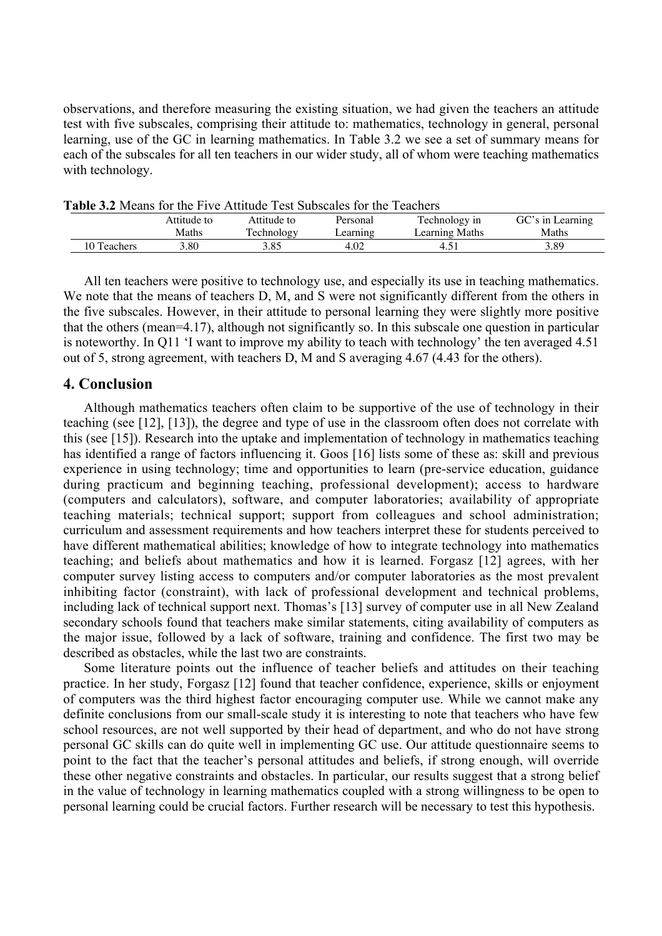observations, and therefore measuring the existing situation, we had given the teachers an attitude test with five subscales, comprising their attitude to: mathematics, technology in general, personal learning, use of the GC in learning mathematics. In Table 3.2 we see a set of summary means for each of the subscales for all ten teachers in our wider study, all of whom were teaching mathematics with technology.

| T ADIC 9.2 INCANS TOF THE FIVE ATTITUDE TEST BUDSCARS TOF THE TEACHERS |             |             |                           |                |                  |  |  |  |  |  |  |
|------------------------------------------------------------------------|-------------|-------------|---------------------------|----------------|------------------|--|--|--|--|--|--|
|                                                                        | Attitude to | Attitude to | Technology in<br>Personal |                | GC's in Learning |  |  |  |  |  |  |
|                                                                        | Maths       | Technology  | earning                   | Learning Maths | Maths            |  |  |  |  |  |  |
| 10 Teachers                                                            | .80         | 3.85        | 4.02                      |                | 3.89             |  |  |  |  |  |  |

Table 3.2 Means for the Five Attitude Test Subscales for the Teachers

All ten teachers were positive to technology use, and especially its use in teaching mathematics. We note that the means of teachers D, M, and S were not significantly different from the others in the five subscales. However, in their attitude to personal learning they were slightly more positive that the others (mean=4.17), although not significantly so. In this subscale one question in particular is noteworthy. In Q11 'I want to improve my ability to teach with technology' the ten averaged 4.51 out of 5, strong agreement, with teachers D, M and S averaging 4.67 (4.43 for the others).

## 4. Conclusion

Although mathematics teachers often claim to be supportive of the use of technology in their teaching (see [12], [13]), the degree and type of use in the classroom often does not correlate with this (see [15]). Research into the uptake and implementation of technology in mathematics teaching has identified a range of factors influencing it. Goos [16] lists some of these as: skill and previous experience in using technology; time and opportunities to learn (pre-service education, guidance during practicum and beginning teaching, professional development); access to hardware (computers and calculators), software, and computer laboratories; availability of appropriate teaching materials; technical support; support from colleagues and school administration; curriculum and assessment requirements and how teachers interpret these for students perceived to have different mathematical abilities; knowledge of how to integrate technology into mathematics teaching; and beliefs about mathematics and how it is learned. Forgasz [12] agrees, with her computer survey listing access to computers and/or computer laboratories as the most prevalent inhibiting factor (constraint), with lack of professional development and technical problems, including lack of technical support next. Thomas's [13] survey of computer use in all New Zealand secondary schools found that teachers make similar statements, citing availability of computers as the major issue, followed by a lack of software, training and confidence. The first two may be described as obstacles, while the last two are constraints.

Some literature points out the influence of teacher beliefs and attitudes on their teaching practice. In her study, Forgasz [12] found that teacher confidence, experience, skills or enjoyment of computers was the third highest factor encouraging computer use. While we cannot make any definite conclusions from our small-scale study it is interesting to note that teachers who have few school resources, are not well supported by their head of department, and who do not have strong personal GC skills can do quite well in implementing GC use. Our attitude questionnaire seems to point to the fact that the teacher's personal attitudes and beliefs, if strong enough, will override these other negative constraints and obstacles. In particular, our results suggest that a strong belief in the value of technology in learning mathematics coupled with a strong willingness to be open to personal learning could be crucial factors. Further research will be necessary to test this hypothesis.